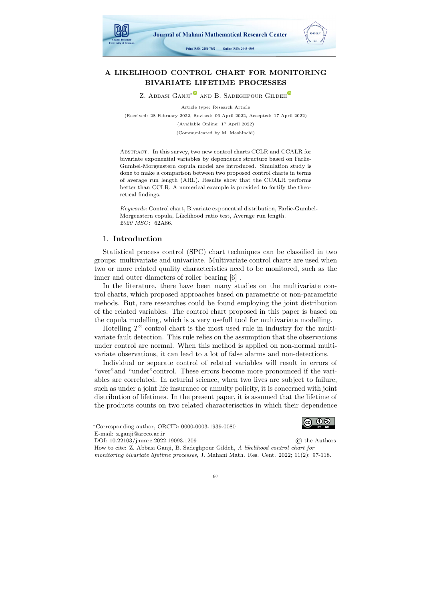

# A LIKELIHOOD CONTROL CHART FOR MONITORING BIVARIATE LIFETIME PROCESSES

Z. Abbasi Ganji<sup>[∗](https://orcid.org/0000-0003-1939-0080) and</sup> B. Sadeg[h](https://orcid.org/0000-0003-0863-676X)pour Gildeh<sup>o</sup>

Article type: Research Article (Received: 28 February 2022, Revised: 06 April 2022, Accepted: 17 April 2022) (Available Online: 17 April 2022) (Communicated by M. Mashinchi)

Abstract. In this survey, two new control charts CCLR and CCALR for bivariate exponential variables by dependence structure based on Farlie-Gumbel-Morgenstern copula model are introduced. Simulation study is done to make a comparison between two proposed control charts in terms of average run length (ARL). Results show that the CCALR performs better than CCLR. A numerical example is provided to fortify the theoretical findings.

Keywords: Control chart, Bivariate exponential distribution, Farlie-Gumbel-Morgenstern copula, Likelihood ratio test, Average run length. 2020 MSC: 62A86.

# 1. Introduction

Statistical process control (SPC) chart techniques can be classified in two groups: multivariate and univariate. Multivariate control charts are used when two or more related quality characteristics need to be monitored, such as the inner and outer diameters of roller bearing [\[6\]](#page-20-0) .

In the literature, there have been many studies on the multivariate control charts, which proposed approaches based on parametric or non-parametric mehods. But, rare researches could be found employing the joint distribution of the related variables. The control chart proposed in this paper is based on the copula modelling, which is a very usefull tool for multivariate modelling.

Hotelling  $T^2$  control chart is the most used rule in industry for the multivariate fault detection. This rule relies on the assumption that the observations under control are normal. When this method is applied on non-normal multivariate observations, it can lead to a lot of false alarms and non-detections.

Individual or seperate control of related variables will result in errors of "over"and "under"control. These errors become more pronounced if the variables are correlated. In acturial science, when two lives are subject to failure, such as under a joint life insurance or annuity policity, it is concerned with joint distribution of lifetimes. In the present paper, it is assumed that the lifetime of the products counts on two related characterisctics in which their dependence

 $\circledcirc$ 

DOI: [10.22103/jmmrc.2022.19093.1209](https://jmmrc.uk.ac.ir/article_3258.html) © the Authors How to cite: Z. Abbasi Ganji, B. Sadeghpour Gildeh, A likelihood control chart for

monitoring bivariate lifetime processes, J. Mahani Math. Res. Cent. 2022; 11(2): 97-118.



<sup>∗</sup>Corresponding author, ORCID: 0000-0003-1939-0080

E-mail: z.ganji@areeo.ac.ir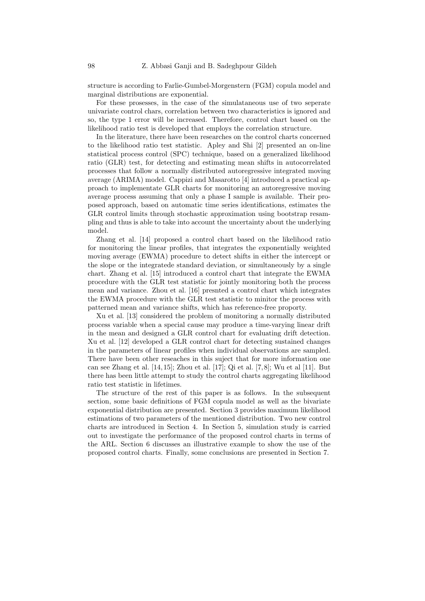structure is according to Farlie-Gumbel-Morgenstern (FGM) copula model and marginal distributions are exponential.

For these prosesses, in the case of the simulataneous use of two seperate univariate control chars, correlation between two characteristics is ignored and so, the type 1 error will be increased. Therefore, control chart based on the likelihood ratio test is developed that employs the correlation structure.

In the literature, there have been researches on the control charts concerned to the likelihood ratio test statistic. Apley and Shi [\[2\]](#page-13-0) presented an on-line statistical process control (SPC) technique, based on a generalized likelihood ratio (GLR) test, for detecting and estimating mean shifts in autocorrelated processes that follow a normally distributed autoregressive integrated moving average (ARIMA) model. Cappizi and Masarotto [\[4\]](#page-20-1) introduced a practical approach to implementate GLR charts for monitoring an autoregressive moving average process assuming that only a phase I sample is available. Their proposed approach, based on automatic time series identifications, estimates the GLR control limits through stochastic approximation using bootstrap resampling and thus is able to take into account the uncertainty about the underlying model.

Zhang et al. [\[14\]](#page-20-2) proposed a control chart based on the likelihood ratio for monitoring the linear profiles, that integrates the exponentially weighted moving average (EWMA) procedure to detect shifts in either the intercept or the slope or the integratede standard deviation, or simultaneously by a single chart. Zhang et al. [\[15\]](#page-20-3) introduced a control chart that integrate the EWMA procedure with the GLR test statistic for jointly monitoring both the process mean and variance. Zhou et al. [\[16\]](#page-20-4) presnted a control chart which integrates the EWMA procedure with the GLR test statistic to minitor the process with patterned mean and variance shifts, which has reference-free proporty.

Xu et al. [\[13\]](#page-20-5) considered the problem of monitoring a normally distributed process variable when a special cause may produce a time-varying linear drift in the mean and designed a GLR control chart for evaluating drift detection. Xu et al. [\[12\]](#page-20-6) developed a GLR control chart for detecting sustained changes in the parameters of linear profiles when individual observations are sampled. There have been other reseaches in this suject that for more information one can see Zhang et al. [\[14,](#page-20-2) [15\]](#page-20-3); Zhou et al. [\[17\]](#page-20-7); Qi et al. [\[7,](#page-20-8) [8\]](#page-20-9); Wu et al [\[11\]](#page-20-10). But there has been little attempt to study the control charts aggregating likelihood ratio test statistic in lifetimes.

The structure of the rest of this paper is as follows. In the subsequent section, some basic definitions of FGM copula model as well as the bivariate exponential distribution are presented. Section [3](#page-2-0) provides maximum likelihood estimations of two parameters of the mentioned distribution. Two new control charts are introduced in Section [4.](#page-3-0) In Section [5,](#page-9-0) simulation study is carried out to investigate the performance of the proposed control charts in terms of the ARL. Section [6](#page-10-0) discusses an illustrative example to show the use of the proposed control charts. Finally, some conclusions are presented in Section [7.](#page-11-0)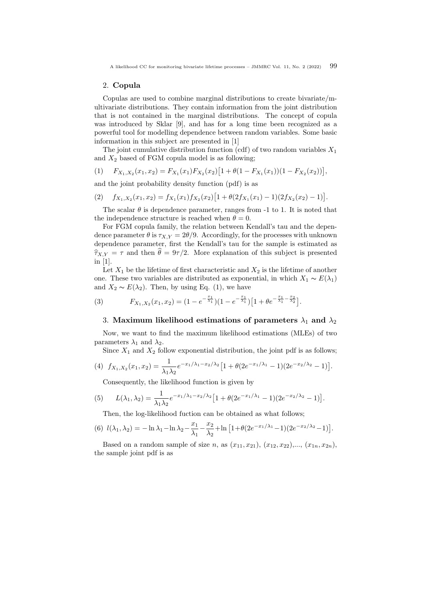A likelihood CC for monitoring bivariate lifetime processes – JMMRC Vol. 11, No. 2 (2022) 99

#### 2. Copula

Copulas are used to combine marginal distributions to create bivariate/multivariate distributions. They contain information from the joint distribution that is not contained in the marginal distributions. The concept of copula was introduced by Sklar [\[9\]](#page-20-11), and has for a long time been recognized as a powerful tool for modelling dependence between random variables. Some basic information in this subject are presented in [\[1\]](#page-12-0)

The joint cumulative distribution function (cdf) of two random variables  $X_1$ and  $X_2$  based of FGM copula model is as following;

<span id="page-2-1"></span>
$$
(1) \tF_{X_1,X_2}(x_1,x_2) = F_{X_1}(x_1)F_{X_2}(x_2)[1 + \theta(1 - F_{X_1}(x_1))(1 - F_{X_2}(x_2))],
$$

and the joint probability density function (pdf) is as

$$
(2) \t f_{X_1,X_2}(x_1,x_2) = f_{X_1}(x_1)f_{X_2}(x_2)[1 + \theta(2f_{X_1}(x_1) - 1)(2f_{X_2}(x_2) - 1)].
$$

The scalar  $\theta$  is dependence parameter, ranges from -1 to 1. It is noted that the independence structure is reached when  $\theta = 0$ .

For FGM copula family, the relation between Kendall's tau and the dependence parameter  $\theta$  is  $\tau_{X,Y} = 2\theta/9$ . Accordingly, for the processes with unknown dependence parameter, first the Kendall's tau for the sample is estimated as  $\hat{\tau}_{X,Y} = \tau$  and then  $\hat{\theta} = 9\tau/2$ . More explanation of this subject is presented in [\[1\]](#page-12-0).

Let  $X_1$  be the lifetime of first characteristic and  $X_2$  is the lifetime of another one. These two variables are distributed as exponential, in which  $X_1 \sim E(\lambda_1)$ and  $X_2 \sim E(\lambda_2)$ . Then, by using Eq. [\(1\)](#page-2-1), we have

(3) 
$$
F_{X_1,X_2}(x_1,x_2)=(1-e^{-\frac{x_1}{\lambda_1}})(1-e^{-\frac{x_1}{\lambda_1}})[1+\theta e^{-\frac{x_1}{\lambda_1}-\frac{x_2}{\lambda_2}}].
$$

## <span id="page-2-0"></span>3. Maximum likelihood estimations of parameters  $\lambda_1$  and  $\lambda_2$

Now, we want to find the maximum likelihood estimations (MLEs) of two parameters  $\lambda_1$  and  $\lambda_2$ .

Since  $X_1$  and  $X_2$  follow exponential distribution, the joint pdf is as follows;

(4) 
$$
f_{X_1,X_2}(x_1,x_2) = \frac{1}{\lambda_1 \lambda_2} e^{-x_1/\lambda_1 - x_2/\lambda_2} \left[ 1 + \theta (2e^{-x_1/\lambda_1} - 1)(2e^{-x_2/\lambda_2} - 1) \right].
$$

Consequently, the likelihood function is given by

(5) 
$$
L(\lambda_1, \lambda_2) = \frac{1}{\lambda_1 \lambda_2} e^{-x_1/\lambda_1 - x_2/\lambda_2} \left[ 1 + \theta (2e^{-x_1/\lambda_1} - 1)(2e^{-x_2/\lambda_2} - 1) \right].
$$

Then, the log-likelihood fuction can be obtained as what follows;

(6) 
$$
l(\lambda_1, \lambda_2) = -\ln \lambda_1 - \ln \lambda_2 - \frac{x_1}{\lambda_1} - \frac{x_2}{\lambda_2} + \ln \left[1 + \theta(2e^{-x_1/\lambda_1} - 1)(2e^{-x_2/\lambda_2} - 1)\right].
$$

Based on a random sample of size n, as  $(x_{11}, x_{21}), (x_{12}, x_{22}),..., (x_{1n}, x_{2n}),$ the sample joint pdf is as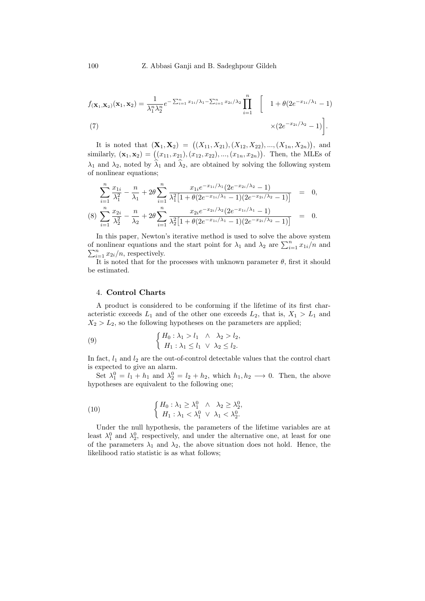$$
f(\mathbf{x}_1, \mathbf{x}_2)(\mathbf{x}_1, \mathbf{x}_2) = \frac{1}{\lambda_1^n \lambda_2^n} e^{-\sum_{i=1}^n x_{1i}/\lambda_1 - \sum_{i=1}^n x_{2i}/\lambda_2} \prod_{i=1}^n \begin{bmatrix} 1 + \theta(2e^{-x_{1i}/\lambda_1} - 1) \\ \times (2e^{-x_{2i}/\lambda_2} - 1) \end{bmatrix}.
$$
\n(7)

It is noted that  $(\mathbf{X}_1, \mathbf{X}_2) = ((X_{11}, X_{21}), (X_{12}, X_{22}), ..., (X_{1n}, X_{2n}))$ , and similarly,  $(\mathbf{x}_1, \mathbf{x}_2) = ((x_{11}, x_{21}), (x_{12}, x_{22}), ..., (x_{1n}, x_{2n}))$ . Then, the MLEs of  $\lambda_1$  and  $\lambda_2$ , noted by  $\hat{\lambda}_1$  and  $\hat{\lambda}_2$ , are obtained by solving the following system of nonlinear equations;

$$
\sum_{i=1}^{n} \frac{x_{1i}}{\lambda_1^2} - \frac{n}{\lambda_1} + 2\theta \sum_{i=1}^{n} \frac{x_{1i}e^{-x_{1i}/\lambda_1}(2e^{-x_{2i}/\lambda_2} - 1)}{\lambda_1^2[1 + \theta(2e^{-x_{1i}/\lambda_1} - 1)(2e^{-x_{2i}/\lambda_2} - 1)]} = 0,
$$
\n
$$
(8) \sum_{i=1}^{n} \frac{x_{2i}}{\lambda_2^2} - \frac{n}{\lambda_2} + 2\theta \sum_{i=1}^{n} \frac{x_{2i}e^{-x_{2i}/\lambda_2}(2e^{-x_{1i}/\lambda_1} - 1)}{\lambda_2^2[1 + \theta(2e^{-x_{1i}/\lambda_1} - 1)(2e^{-x_{2i}/\lambda_2} - 1)]} = 0.
$$

In this paper, Newton's iterative method is used to solve the above system of nonlinear equations and the start point for  $\lambda_1$  and  $\lambda_2$  are  $\sum_{i=1}^n x_{1i}/n$  and  $\sum_{i=1}^n x_{2i}/n$ , respectively.

It is noted that for the processes with unknown parameter  $\theta$ , first it should be estimated.

## <span id="page-3-0"></span>4. Control Charts

A product is considered to be conforming if the lifetime of its first characteristic exceeds  $L_1$  and of the other one exceeds  $L_2$ , that is,  $X_1 > L_1$  and  $X_2 > L_2$ , so the following hypotheses on the parameters are applied;

(9) 
$$
\begin{cases} H_0: \lambda_1 > l_1 \quad \wedge \quad \lambda_2 > l_2, \\ H_1: \lambda_1 \leq l_1 \quad \vee \quad \lambda_2 \leq l_2. \end{cases}
$$

In fact,  $l_1$  and  $l_2$  are the out-of-control detectable values that the control chart is expected to give an alarm.

Set  $\lambda_1^0 = l_1 + h_1$  and  $\lambda_2^0 = l_2 + h_2$ , which  $h_1, h_2 \longrightarrow 0$ . Then, the above hypotheses are equivalent to the following one;

<span id="page-3-1"></span>(10) 
$$
\begin{cases} H_0: \lambda_1 \geq \lambda_1^0 & \wedge \lambda_2 \geq \lambda_2^0, \\ H_1: \lambda_1 < \lambda_1^0 \vee \lambda_1 < \lambda_2^0. \end{cases}
$$

Under the null hypothesis, the parameters of the lifetime variables are at least  $\lambda_1^0$  and  $\lambda_2^0$ , respectively, and under the alternative one, at least for one of the parameters  $\lambda_1$  and  $\lambda_2$ , the above situation does not hold. Hence, the likelihood ratio statistic is as what follows;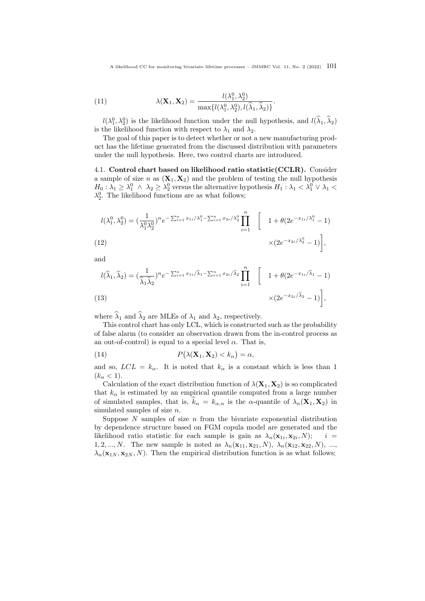<span id="page-4-2"></span>A likelihood CC for monitoring bivariate lifetime processes – JMMRC Vol. 11, No. 2 (2022)  $101$ 

.

(11) 
$$
\lambda(\mathbf{X}_1, \mathbf{X}_2) = \frac{l(\lambda_1^0, \lambda_2^0)}{\max\{l(\lambda_1^0, \lambda_2^0), l(\hat{\lambda}_1, \hat{\lambda}_2)\}}
$$

 $l(\lambda_1^0, \lambda_2^0)$  is the likelihood function under the null hypothesis, and  $l(\hat{\lambda}_1, \hat{\lambda}_2)$ is the likelihood function with respect to  $\lambda_1$  and  $\lambda_2$ .

The goal of this paper is to detect whether or not a new manufacturing product has the lifetime generated from the discussed distribution with parameters under the null hypothesis. Here, two control charts are introduced.

<span id="page-4-3"></span>4.1. Control chart based on likelihood ratio statistic(CCLR). Consider a sample of size n as  $(X_1, X_2)$  and the problem of testing the null hypothesis  $H_0: \lambda_1 \geq \lambda_1^0 \;\wedge\; \lambda_2 \geq \lambda_2^0$  versus the alternative hypothesis  $H_1: \lambda_1 < \lambda_1^0 \vee \lambda_1 <$  $\lambda_2^0$ . The likelihood functions are as what follows;

<span id="page-4-0"></span>
$$
l(\lambda_1^0, \lambda_2^0) = \left(\frac{1}{\lambda_1^0 \lambda_2^0}\right)^n e^{-\sum_{i=1}^n x_{1i}/\lambda_1^0 - \sum_{i=1}^n x_{2i}/\lambda_2^0} \prod_{i=1}^n \left[1 + \theta(2e^{-x_{1i}/\lambda_1^0} - 1)\right]
$$
\n
$$
\times (2e^{-x_{2i}/\lambda_2^0} - 1)\Big],
$$

and

<span id="page-4-1"></span>
$$
l(\widehat{\lambda}_1, \widehat{\lambda}_2) = \left(\frac{1}{\widehat{\lambda}_1 \widehat{\lambda}_2}\right)^n e^{-\sum_{i=1}^n x_{1i} / \widehat{\lambda}_1 - \sum_{i=1}^n x_{2i} / \widehat{\lambda}_2} \prod_{i=1}^n \left[1 + \theta(2e^{-x_{1i} / \widehat{\lambda}_1} - 1)\right]
$$
\n(13)\n
$$
\times (2e^{-x_{2i} / \widehat{\lambda}_2} - 1)\bigg|,
$$

where  $\hat{\lambda}_1$  and  $\hat{\lambda}_2$  are MLEs of  $\lambda_1$  and  $\lambda_2$ , respectively.

This control chart has only LCL, which is constructed such as the probability of false alarm (to consider an observation drawn from the in-control process as an out-of-control) is equal to a special level  $\alpha$ . That is,

(14) 
$$
P(\lambda(\mathbf{X}_1, \mathbf{X}_2) < k_\alpha) = \alpha,
$$

and so,  $LCL = k_{\alpha}$ . It is noted that  $k_{\alpha}$  is a constant which is less than 1  $(k_{\alpha} < 1).$ 

Calculation of the exact distribution function of  $\lambda(\mathbf{X}_1, \mathbf{X}_2)$  is so complicated that  $k_{\alpha}$  is estimated by an empirical quantile computed from a large number of simulated samples, that is,  $\hat{k}_{\alpha} = k_{\alpha,n}$  is the  $\alpha$ -quantile of  $\lambda_n(\mathbf{X}_1, \mathbf{X}_2)$  in simulated samples of size n.

Suppose  $N$  samples of size  $n$  from the bivariate exponential distribution by dependence structure based on FGM copula model are generated and the likelihood ratio statistic for each sample is gain as  $\lambda_n(\mathbf{x}_{1i}, \mathbf{x}_{2i}, N);$  i = 1, 2, ..., N. The new sample is noted as  $\lambda_n(\mathbf{x}_{11}, \mathbf{x}_{21}, N)$ ,  $\lambda_n(\mathbf{x}_{12}, \mathbf{x}_{22}, N)$ , ...,  $\lambda_n(\mathbf{x}_{1N}, \mathbf{x}_{2N}, N)$ . Then the empirical distribution function is as what follows;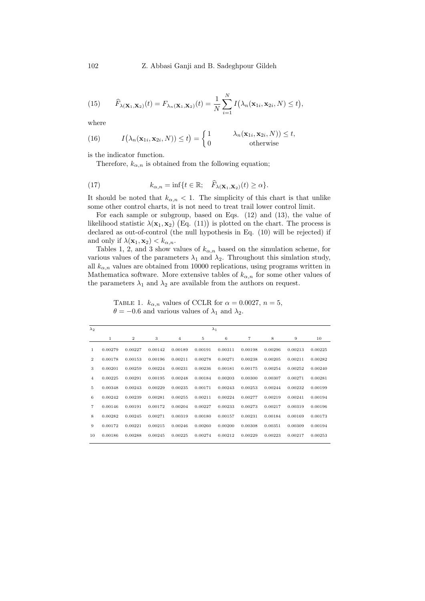(15) 
$$
\widehat{F}_{\lambda(\mathbf{X}_1,\mathbf{X}_2)}(t) = F_{\lambda_n(\mathbf{X}_1,\mathbf{X}_2)}(t) = \frac{1}{N} \sum_{i=1}^N I(\lambda_n(\mathbf{x}_{1i}, \mathbf{x}_{2i}, N) \leq t),
$$

where

(16) 
$$
I(\lambda_n(\mathbf{x}_{1i}, \mathbf{x}_{2i}, N)) \le t) = \begin{cases} 1 & \lambda_n(\mathbf{x}_{1i}, \mathbf{x}_{2i}, N)) \le t, \\ 0 & \text{otherwise} \end{cases}
$$

is the indicator function.

<span id="page-5-1"></span>Therefore,  $k_{\alpha,n}$  is obtained from the following equation;

(17) 
$$
k_{\alpha,n} = \inf\{t \in \mathbb{R}; \quad \widehat{F}_{\lambda(\mathbf{X}_1,\mathbf{X}_2)}(t) \geq \alpha\}.
$$

It should be noted that  $k_{\alpha,n} < 1$ . The simplicity of this chart is that unlike some other control charts, it is not need to treat trail lower control limit.

For each sample or subgroup, based on Eqs. [\(12\)](#page-4-0) and [\(13\)](#page-4-1), the value of likelihood statistic  $\lambda(\mathbf{x}_1, \mathbf{x}_2)$  (Eq. [\(11\)](#page-4-2)) is plotted on the chart. The process is declared as out-of-control (the null hypothesis in Eq. [\(10\)](#page-3-1) will be rejected) if and only if  $\lambda(\mathbf{x}_1, \mathbf{x}_2) < k_{\alpha, n}$ .

Tables [1,](#page-5-0) [2,](#page-6-0) and [3](#page-6-1) show values of  $k_{\alpha,n}$  based on the simulation scheme, for various values of the parameters  $\lambda_1$  and  $\lambda_2$ . Throughout this simlation study, all  $k_{\alpha,n}$  values are obtained from 10000 replications, using programs written in Mathematica software. More extensive tables of  $k_{\alpha,n}$  for some other values of the parameters  $\lambda_1$  and  $\lambda_2$  are available from the authors on request.

<span id="page-5-0"></span>TABLE 1.  $k_{\alpha,n}$  values of CCLR for  $\alpha = 0.0027$ ,  $n = 5$ ,  $\theta = -0.6$  and various values of  $\lambda_1$  and  $\lambda_2$ .

| $\lambda_2$    |         |                |         |                |         | $\lambda_1$ |                |         |         |         |
|----------------|---------|----------------|---------|----------------|---------|-------------|----------------|---------|---------|---------|
|                | 1       | $\overline{2}$ | 3       | $\overline{4}$ | 5       | 6           | $\overline{7}$ | 8       | 9       | 10      |
| 1              | 0.00279 | 0.00227        | 0.00142 | 0.00189        | 0.00191 | 0.00311     | 0.00198        | 0.00296 | 0.00213 | 0.00225 |
| $\overline{2}$ | 0.00178 | 0.00153        | 0.00196 | 0.00211        | 0.00278 | 0.00271     | 0.00238        | 0.00205 | 0.00211 | 0.00282 |
| 3              | 0.00201 | 0.00259        | 0.00224 | 0.00231        | 0.00236 | 0.00181     | 0.00175        | 0.00254 | 0.00252 | 0.00240 |
| $\overline{4}$ | 0.00225 | 0.00291        | 0.00195 | 0.00248        | 0.00184 | 0.00203     | 0.00300        | 0.00307 | 0.00271 | 0.00281 |
| 5              | 0.00348 | 0.00243        | 0.00229 | 0.00235        | 0.00171 | 0.00243     | 0.00253        | 0.00244 | 0.00232 | 0.00199 |
| 6              | 0.00242 | 0.00239        | 0.00281 | 0.00255        | 0.00211 | 0.00224     | 0.00277        | 0.00219 | 0.00241 | 0.00194 |
| 7              | 0.00146 | 0.00191        | 0.00172 | 0.00204        | 0.00227 | 0.00233     | 0.00273        | 0.00217 | 0.00319 | 0.00196 |
| 8              | 0.00282 | 0.00245        | 0.00271 | 0.00319        | 0.00180 | 0.00157     | 0.00231        | 0.00184 | 0.00169 | 0.00173 |
| 9              | 0.00172 | 0.00221        | 0.00215 | 0.00246        | 0.00260 | 0.00200     | 0.00308        | 0.00351 | 0.00309 | 0.00194 |
| 10             | 0.00186 | 0.00288        | 0.00245 | 0.00225        | 0.00274 | 0.00212     | 0.00229        | 0.00223 | 0.00217 | 0.00253 |
|                |         |                |         |                |         |             |                |         |         |         |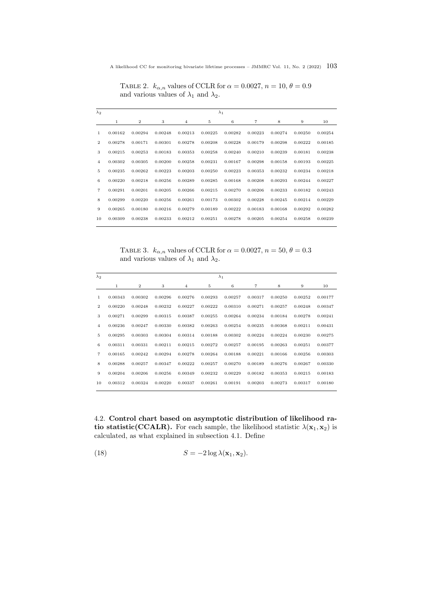<span id="page-6-0"></span>A likelihood CC for monitoring bivariate lifetime processes – JMMRC Vol. 11, No. 2 (2022)  $103$ 

TABLE 2.  $k_{\alpha,n}$  values of CCLR for  $\alpha = 0.0027$ ,  $n = 10$ ,  $\theta = 0.9$ and various values of  $\lambda_1$  and  $\lambda_2$ .

| $\lambda_2$    |         |              |         |                | $\lambda_1$ |         |                 |         |         |         |
|----------------|---------|--------------|---------|----------------|-------------|---------|-----------------|---------|---------|---------|
|                | 1       | $\mathbf{2}$ | 3       | $\overline{4}$ | 5           | 6       | $7\phantom{.0}$ | 8       | 9       | 10      |
| 1              | 0.00162 | 0.00294      | 0.00248 | 0.00213        | 0.00225     | 0.00282 | 0.00223         | 0.00274 | 0.00250 | 0.00254 |
| $\overline{2}$ | 0.00278 | 0.00171      | 0.00301 | 0.00278        | 0.00208     | 0.00228 | 0.00179         | 0.00298 | 0.00222 | 0.00185 |
| 3              | 0.00215 | 0.00253      | 0.00183 | 0.00353        | 0.00258     | 0.00240 | 0.00210         | 0.00239 | 0.00181 | 0.00238 |
| $\overline{4}$ | 0.00302 | 0.00305      | 0.00200 | 0.00258        | 0.00231     | 0.00167 | 0.00298         | 0.00158 | 0.00193 | 0.00225 |
| 5              | 0.00235 | 0.00262      | 0.00223 | 0.00203        | 0.00250     | 0.00223 | 0.00353         | 0.00232 | 0.00234 | 0.00218 |
| 6              | 0.00220 | 0.00218      | 0.00256 | 0.00289        | 0.00285     | 0.00168 | 0.00208         | 0.00293 | 0.00244 | 0.00227 |
| 7              | 0.00291 | 0.00201      | 0.00205 | 0.00266        | 0.00215     | 0.00270 | 0.00206         | 0.00233 | 0.00182 | 0.00243 |
| 8              | 0.00299 | 0.00220      | 0.00256 | 0.00261        | 0.00173     | 0.00302 | 0.00228         | 0.00245 | 0.00214 | 0.00229 |
| 9              | 0.00265 | 0.00180      | 0.00216 | 0.00279        | 0.00189     | 0.00222 | 0.00183         | 0.00168 | 0.00292 | 0.00282 |
| 10             | 0.00309 | 0.00238      | 0.00233 | 0.00212        | 0.00251     | 0.00278 | 0.00205         | 0.00254 | 0.00258 | 0.00239 |

<span id="page-6-1"></span>TABLE 3.  $k_{\alpha,n}$  values of CCLR for  $\alpha = 0.0027$ ,  $n = 50$ ,  $\theta = 0.3$ and various values of  $\lambda_1$  and  $\lambda_2$ .

| $\lambda_2$      |              |                |         |         |         | $\lambda_1$ |         |         |         |         |
|------------------|--------------|----------------|---------|---------|---------|-------------|---------|---------|---------|---------|
|                  | $\mathbf{1}$ | $\overline{2}$ | 3       | 4       | 5       | 6           | 7       | 8       | 9       | 10      |
| $\mathbf{1}$     | 0.00343      | 0.00302        | 0.00296 | 0.00276 | 0.00293 | 0.00257     | 0.00317 | 0.00250 | 0.00252 | 0.00177 |
| $\boldsymbol{2}$ | 0.00220      | 0.00248        | 0.00232 | 0.00227 | 0.00222 | 0.00310     | 0.00271 | 0.00257 | 0.00248 | 0.00347 |
| 3                | 0.00271      | 0.00299        | 0.00315 | 0.00387 | 0.00255 | 0.00264     | 0.00234 | 0.00184 | 0.00278 | 0.00241 |
| $\overline{4}$   | 0.00236      | 0.00247        | 0.00330 | 0.00382 | 0.00263 | 0.00254     | 0.00235 | 0.00368 | 0.00211 | 0.00431 |
| 5                | 0.00295      | 0.00303        | 0.00304 | 0.00314 | 0.00188 | 0.00302     | 0.00224 | 0.00224 | 0.00230 | 0.00275 |
| 6                | 0.00311      | 0.00331        | 0.00211 | 0.00215 | 0.00272 | 0.00257     | 0.00195 | 0.00263 | 0.00251 | 0.00377 |
| 7                | 0.00165      | 0.00242        | 0.00294 | 0.00278 | 0.00264 | 0.00188     | 0.00221 | 0.00166 | 0.00256 | 0.00303 |
| 8                | 0.00288      | 0.00257        | 0.00347 | 0.00222 | 0.00257 | 0.00270     | 0.00189 | 0.00276 | 0.00267 | 0.00330 |
| 9                | 0.00204      | 0.00206        | 0.00256 | 0.00349 | 0.00232 | 0.00229     | 0.00182 | 0.00353 | 0.00215 | 0.00183 |
| 10               | 0.00312      | 0.00324        | 0.00220 | 0.00337 | 0.00261 | 0.00191     | 0.00203 | 0.00273 | 0.00317 | 0.00180 |
|                  |              |                |         |         |         |             |         |         |         |         |

4.2. Control chart based on asymptotic distribution of likelihood ratio statistic(CCALR). For each sample, the likelihood statistic  $\lambda(\mathbf{x}_1, \mathbf{x}_2)$  is calculated, as what explained in subsection [4.1.](#page-4-3) Define

<span id="page-6-2"></span>(18) 
$$
S = -2\log \lambda(\mathbf{x}_1, \mathbf{x}_2).
$$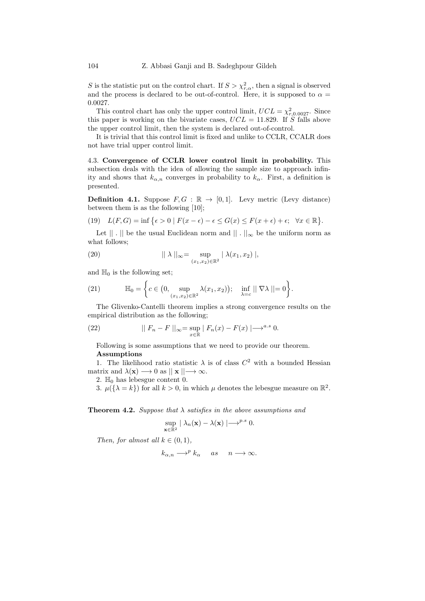S is the statistic put on the control chart. If  $S > \chi^2_{r,\alpha}$ , then a signal is observed and the process is declared to be out-of-control. Here, it is supposed to  $\alpha =$ 0.0027.

This control chart has only the upper control limit,  $UCL = \chi^2_{r,0.0027}$ . Since this paper is working on the bivariate cases,  $UCL = 11.829$ . If S falls above the upper control limit, then the system is declared out-of-control.

It is trivial that this control limit is fixed and unlike to CCLR, CCALR does not have trial upper control limit.

4.3. Convergence of CCLR lower control limit in probability. This subsection deals with the idea of allowing the sample size to approach infinity and shows that  $k_{\alpha,n}$  converges in probability to  $k_{\alpha}$ . First, a definition is presented.

**Definition 4.1.** Suppose  $F, G : \mathbb{R} \to [0, 1]$ . Levy metric (Levy distance) between them is as the following [\[10\]](#page-20-12);

(19) 
$$
L(F,G) = \inf \{ \epsilon > 0 \mid F(x - \epsilon) - \epsilon \le G(x) \le F(x + \epsilon) + \epsilon; \quad \forall x \in \mathbb{R} \}.
$$

Let  $|| \n\cdot ||$  be the usual Euclidean norm and  $|| \n\cdot ||_{\infty}$  be the uniform norm as what follows;

(20) 
$$
|| \lambda ||_{\infty} = \sup_{(x_1, x_2) \in \mathbb{R}^2} | \lambda(x_1, x_2) |,
$$

and  $\mathbb{H}_0$  is the following set;

(21) 
$$
\mathbb{H}_0 = \left\{ c \in \left(0, \sup_{(x_1, x_2) \in \mathbb{R}^2} \lambda(x_1, x_2) \right); \quad \inf_{\lambda = c} || \nabla \lambda || = 0 \right\}.
$$

The Glivenko-Cantelli theorem implies a strong convergence results on the empirical distribution as the following;

(22) 
$$
|| F_n - F ||_{\infty} = \sup_{x \in \mathbb{R}} | F_n(x) - F(x) | \longrightarrow^{a.s} 0.
$$

Following is some assumptions that we need to provide our theorem. Assumptions

1. The likelihood ratio statistic  $\lambda$  is of class  $C^2$  with a bounded Hessian matrix and  $\lambda(\mathbf{x}) \longrightarrow 0$  as  $|| \mathbf{x} || \longrightarrow \infty$ .

2.  $\mathbb{H}_0$  has lebesgue content 0.

3.  $\mu({\lambda = k})$  for all  $k > 0$ , in which  $\mu$  denotes the lebesgue measure on  $\mathbb{R}^2$ .

**Theorem 4.2.** Suppose that  $\lambda$  satisfies in the above assumptions and

$$
\sup_{\mathbf{x}\in\mathbb{R}^2} |\lambda_n(\mathbf{x}) - \lambda(\mathbf{x})| \longrightarrow^{p.s} 0.
$$

Then, for almost all  $k \in (0,1)$ ,

$$
k_{\alpha,n} \longrightarrow^{p} k_{\alpha} \quad as \quad n \longrightarrow \infty.
$$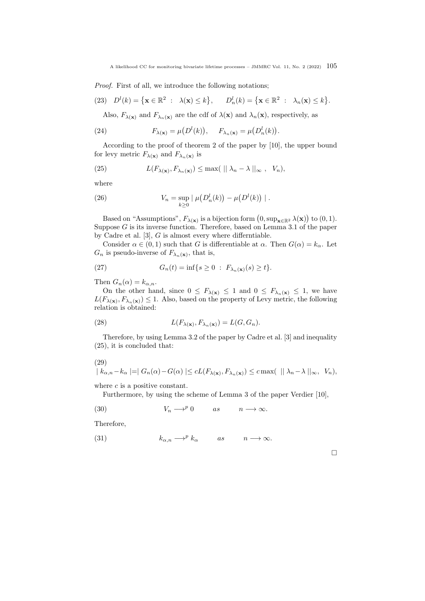A likelihood CC for monitoring bivariate lifetime processes – JMMRC Vol. 11, No. 2 (2022)  $105$ 

Proof. First of all, we introduce the following notations;

(23) 
$$
D^l(k) = {\mathbf{x} \in \mathbb{R}^2 : \lambda(\mathbf{x}) \le k}, \quad D^l_n(k) = {\mathbf{x} \in \mathbb{R}^2 : \lambda_n(\mathbf{x}) \le k}.
$$

Also,  $F_{\lambda(\mathbf{x})}$  and  $F_{\lambda_n(\mathbf{x})}$  are the cdf of  $\lambda(\mathbf{x})$  and  $\lambda_n(\mathbf{x})$ , respectively, as

(24) 
$$
F_{\lambda(\mathbf{x})} = \mu(D^l(k)), \quad F_{\lambda_n(\mathbf{x})} = \mu(D^l_n(k)).
$$

According to the proof of theorem 2 of the paper by [\[10\]](#page-20-12), the upper bound for levy metric  $F_{\lambda(\mathbf{x})}$  and  $F_{\lambda_n(\mathbf{x})}$  is

<span id="page-8-0"></span>(25) 
$$
L(F_{\lambda(\mathbf{x})}, F_{\lambda_n(\mathbf{x})}) \leq \max(\|\lambda_n - \lambda\|_{\infty}, V_n),
$$

where

(26) 
$$
V_n = \sup_{k \geq 0} |\mu(D_n^l(k)) - \mu(D^l(k))|.
$$

Based on "Assumptions",  $F_{\lambda(\mathbf{x})}$  is a bijection form  $(0, \sup_{\mathbf{x} \in \mathbb{R}^2} \lambda(\mathbf{x}))$  to  $(0, 1)$ . Suppose  $G$  is its inverse function. Therefore, based on Lemma 3.1 of the paper by Cadre et al. [\[3\]](#page-20-13), G is almost every where differntiable.

Consider  $\alpha \in (0,1)$  such that G is differentiable at  $\alpha$ . Then  $G(\alpha) = k_{\alpha}$ . Let  $G_n$  is pseudo-inverse of  $F_{\lambda_n}(\mathbf{x})$ , that is,

(27) 
$$
G_n(t) = \inf\{s \ge 0 : F_{\lambda_n(\mathbf{x})}(s) \ge t\}.
$$

Then  $G_n(\alpha) = k_{\alpha,n}$ .

On the other hand, since  $0 \leq F_{\lambda(\mathbf{x})} \leq 1$  and  $0 \leq F_{\lambda_n(\mathbf{x})} \leq 1$ , we have  $L(F_{\lambda(\mathbf{x})}, F_{\lambda_n(\mathbf{x})}) \leq 1$ . Also, based on the property of Levy metric, the following relation is obtained:

(28) 
$$
L(F_{\lambda(\mathbf{x})}, F_{\lambda_n(\mathbf{x})}) = L(G, G_n).
$$

Therefore, by using Lemma 3.2 of the paper by Cadre et al. [\[3\]](#page-20-13) and inequality [\(25\)](#page-8-0), it is concluded that:

$$
(29)
$$

$$
|k_{\alpha,n}-k_{\alpha}|=|G_n(\alpha)-G(\alpha)|\leq cL(F_{\lambda(\mathbf{x})},F_{\lambda_n(\mathbf{x})})\leq c\max(|\lambda_n-\lambda||_{\infty}, V_n),
$$

where  $c$  is a positive constant.

Furthermore, by using the scheme of Lemma 3 of the paper Verdier [\[10\]](#page-20-12),

(30) 
$$
V_n \longrightarrow^p 0
$$
 as  $n \longrightarrow \infty$ .

Therefore,

(31) 
$$
k_{\alpha,n} \longrightarrow^p k_{\alpha}
$$
 as  $n \longrightarrow \infty$ .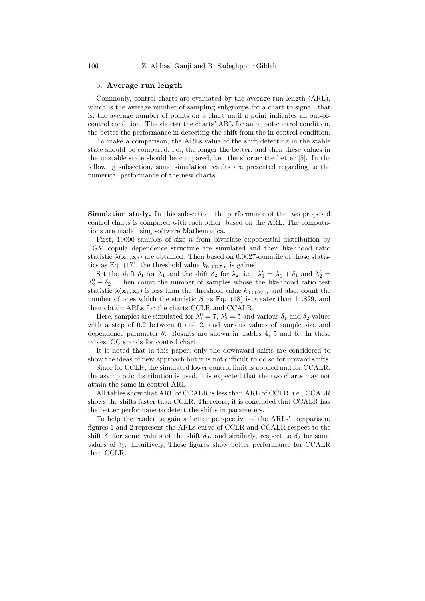## <span id="page-9-0"></span>5. Average run length

Commonly, control charts are evaluated by the average run length (ARL), which is the average number of sampling subgroups for a chart to signal, that is, the average number of points on a chart until a point indicates an out-ofcontrol condition. The shorter the charts' ARL for an out-of-control condition, the better the performance in detecting the shift from the in-control condition.

To make a comparison, the ARLs value of the shift detecting in the stable state should be compared, i.e., the longer the better, and then these values in the unstable state should be compared, i.e., the shorter the better [\[5\]](#page-20-14). In the following subsection, some simulation results are presented regarding to the numerical performance of the new charts .

Simulation study. In this subsection, the performance of the two proposed control charts is compared with each other, based on the ARL. The computations are made using software Mathematica.

First, 10000 samples of size n from bivariate exponential distribution by FGM copula dependence structure are simulated and their likelihood ratio statistic  $\lambda(\mathbf{x}_1, \mathbf{x}_2)$  are obtained. Then based on 0.0027-quantile of those statis-tics as Eq. [\(17\)](#page-5-1), the threshold value  $k_{0.0027,n}$  is gained.

Set the shift  $\delta_1$  for  $\lambda_1$  and the shift  $\delta_2$  for  $\lambda_2$ , i.e.,  $\lambda'_1 = \lambda_1^0 + \delta_1$  and  $\lambda'_2 =$  $\lambda_2^0 + \delta_2$ . Then count the number of samples whose the likelihood ratio test statistic  $\lambda(\mathbf{x}_1, \mathbf{x}_2)$  is less than the threshold value  $k_{0.0027,n}$  and also, count the number of ones which the statistic  $S$  as Eq. [\(18\)](#page-6-2) is greater than 11.829, and then obtain ARLs for the charts CCLR and CCALR.

Here, samples are simulated for  $\lambda_1^0 = 7$ ,  $\lambda_2^0 = 5$  and various  $\delta_1$  and  $\delta_2$  values with a step of 0.2 between 0 and 2, and various values of sample size and dependence parameter  $\theta$ . Results are shown in Tables [4,](#page-10-1) [5](#page-11-1) and [6.](#page-12-1) In these tables, CC stands for control chart.

It is noted that in this paper, only the downward shifts are considered to show the ideas of new approach but it is not difficult to do so for upward shifts.

Since for CCLR, the simulated lower control limit is applied and for CCALR, the asymptotic distribution is used, it is expected that the two charts may not attain the same in-control ARL.

All tables show that ARL of CCALR is less than ARL of CCLR, i.e., CCALR shows the shifts faster than CCLR. Therefore, it is concluded that CCALR has the better performane to detect the shifts in parameters.

To help the reader to gain a better perspective of the ARLs' comparison, figures [1](#page-13-1) and [2](#page-13-2) represent the ARLs curve of CCLR and CCALR respect to the shift  $\delta_1$  for some values of the shift  $\delta_2$ , and similarly, respect to  $\delta_2$  for some values of  $\delta_1$ . Intuitively, These figures show better performance for CCALR than CCLR.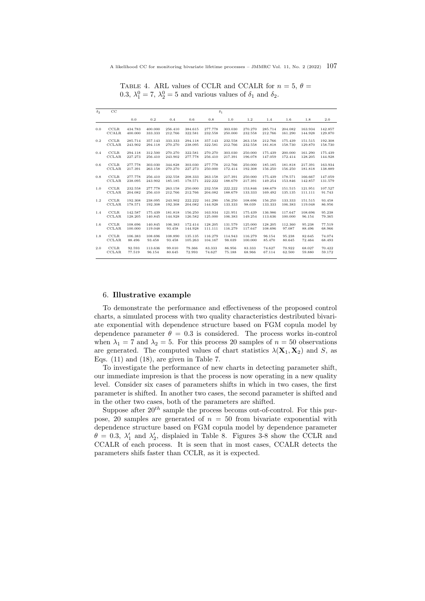| $\delta_2$ | CC           |         |         |         |         | $\delta_1$ |         |         |         |         |         |         |
|------------|--------------|---------|---------|---------|---------|------------|---------|---------|---------|---------|---------|---------|
|            |              | 0.0     | 0.2     | 0.4     | 0.6     | 0.8        | 1.0     | 1.2     | 1.4     | 1.6     | 1.8     | 2.0     |
| 0.0        | <b>CCLR</b>  | 434.783 | 400.000 | 256.410 | 384.615 | 277.778    | 303.030 | 270.270 | 285.714 | 204.082 | 163.934 | 142.857 |
|            | <b>CCALR</b> | 400.000 | 333.333 | 212.766 | 322.581 | 232.558    | 250.000 | 232.558 | 212.766 | 161.290 | 144.928 | 129.870 |
| 0.2        | <b>CCLR</b>  | 285.714 | 357.143 | 333.333 | 294.118 | 357.143    | 232.558 | 263.158 | 212.766 | 175.439 | 151.515 | 192.308 |
|            | <b>CCLAR</b> | 243.902 | 294.118 | 270.270 | 238.095 | 322.581    | 212.766 | 232.558 | 181.818 | 158.730 | 129.870 | 158.730 |
| 0.4        | <b>CCLR</b>  | 294.118 | 312.500 | 270.270 | 322.581 | 270.270    | 303.030 | 250.000 | 175.439 | 200.000 | 161.290 | 175.439 |
|            | <b>CCLAR</b> | 227.273 | 256.410 | 243.902 | 277.778 | 256.410    | 217.391 | 196.078 | 147.059 | 172.414 | 128.205 | 144.928 |
| 0.6        | <b>CCLR</b>  | 277.778 | 303.030 | 344.828 | 303.030 | 277.778    | 212.766 | 250.000 | 185.185 | 181.818 | 217.391 | 163.934 |
|            | <b>CCLAR</b> | 217.391 | 263.158 | 270.270 | 227.273 | 250.000    | 172.414 | 192.308 | 156.250 | 156.250 | 181.818 | 138.889 |
| 0.8        | <b>CCLR</b>  | 277.778 | 256.410 | 232.558 | 208.333 | 263.158    | 217.391 | 250.000 | 175.439 | 178.571 | 166.667 | 147.059 |
|            | <b>CCLAR</b> | 238.095 | 243.902 | 185.185 | 178.571 | 222.222    | 188.679 | 217.391 | 149.254 | 153.846 | 142.857 | 131.579 |
| 1.0        | <b>CCLR</b>  | 232.558 | 277.778 | 263.158 | 250.000 | 232.558    | 222.222 | 153.846 | 188.679 | 151.515 | 121.951 | 107.527 |
|            | <b>CCLAR</b> | 204.082 | 256.410 | 212.766 | 212.766 | 204.082    | 188.679 | 133.333 | 169.492 | 135.135 | 111.111 | 91.743  |
| 1.2        | <b>CCLR</b>  | 192.308 | 238.095 | 243.902 | 222.222 | 161.290    | 156.250 | 108.696 | 156.250 | 133.333 | 151.515 | 93.458  |
|            | <b>CCLAR</b> | 178.571 | 192.308 | 192.308 | 204.082 | 144.928    | 133.333 | 98.039  | 133.333 | 106.383 | 119.048 | 86.956  |
| 1.4        | <b>CCLR</b>  | 142.587 | 175.439 | 181.818 | 156.250 | 163.934    | 121.951 | 175.439 | 136.986 | 117.647 | 108.696 | 95.238  |
|            | <b>CCLAR</b> | 128.205 | 140.845 | 144.928 | 126.582 | 125.000    | 106.383 | 149.254 | 113.636 | 100.000 | 96.154  | 79.365  |
| 1.6        | <b>CCLR</b>  | 108.696 | 140.845 | 106.383 | 172.414 | 128.205    | 131.579 | 125.000 | 128.205 | 112.360 | 95.238  | 77.519  |
|            | <b>CCLAR</b> | 100.000 | 119.048 | 93.458  | 144.928 | 111.111    | 116.279 | 117.647 | 108.696 | 97.087  | 88.496  | 68.966  |
| 1.8        | <b>CCLR</b>  | 106.383 | 108.696 | 108.890 | 135.135 | 116.279    | 114.943 | 116.279 | 96.154  | 95.238  | 82.645  | 74.074  |
|            | <b>CCLAR</b> | 88.496  | 93.458  | 93.458  | 105.263 | 104.167    | 98.039  | 100.000 | 85.470  | 80.645  | 72.464  | 68.493  |
| 2.0        | <b>CCLR</b>  | 92.593  | 113.636 | 99.010  | 79.366  | 83.333     | 86.956  | 83.333  | 74.627  | 70.922  | 68.027  | 70.422  |
|            | <b>CCLAR</b> | 77.519  | 96.154  | 80.645  | 72.993  | 74.627     | 75.188  | 68.966  | 67.114  | 62.500  | 59.880  | 59.172  |

<span id="page-10-1"></span>TABLE 4. ARL values of CCLR and CCALR for  $n = 5, \theta =$ 0.3,  $\lambda_1^0 = 7$ ,  $\lambda_2^0 = 5$  and various values of  $\delta_1$  and  $\delta_2$ .

## <span id="page-10-0"></span>6. Illustrative example

To demonstrate the performance and effectiveness of the proposed control charts, a simulated process with two quality characteristics destributed bivariate exponential with dependence structure based on FGM copula model by dependence parameter  $\theta = 0.3$  is considered. The process works in-control when  $\lambda_1 = 7$  and  $\lambda_2 = 5$ . For this process 20 samples of  $n = 50$  observations are generated. The computed values of chart statistics  $\lambda(\mathbf{X}_1, \mathbf{X}_2)$  and S, as Eqs. [\(11\)](#page-4-2) and [\(18\)](#page-6-2), are given in Table [7.](#page-12-2)

To investigate the performance of new charts in detecting parameter shift, our immediate impresion is that the process is now operating in a new quality level. Consider six cases of parameters shifts in which in two cases, the first parameter is shifted. In another two cases, the second parameter is shifted and in the other two cases, both of the parameters are shifted.

Suppose after  $20^{th}$  sample the process becoms out-of-control. For this purpose, 20 samples are generated of  $n = 50$  from bivariate exponential with dependence structure based on FGM copula model by dependence parameter  $\theta = 0.3$ ,  $\lambda'_1$  and  $\lambda'_2$ , displaied in Table [8.](#page-20-15) Figures [3-](#page-14-0)[8](#page-19-0) show the CCLR and CCALR of each process. It is seen that in most cases, CCALR detects the parameters shifs faster than CCLR, as it is expected.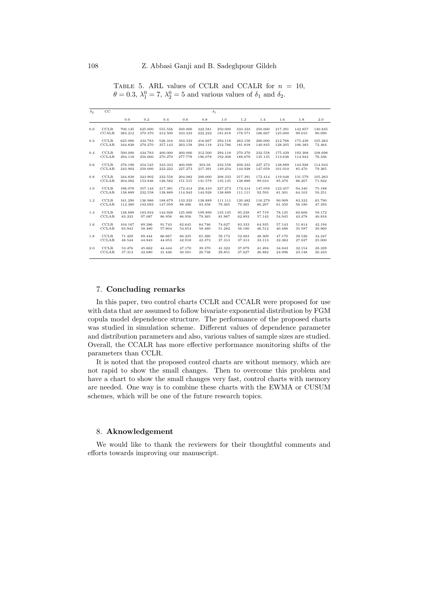<span id="page-11-1"></span>

|     | TABLE 5. ARL values of CCLR and CCALR for $n = 10$ .<br>$\theta = 0.3, \lambda_1^0 = 7, \lambda_2^0 = 5$ and various values of $\delta_1$ and $\delta_2$ . |
|-----|------------------------------------------------------------------------------------------------------------------------------------------------------------|
| CC. |                                                                                                                                                            |

| $\delta_2$ | $_{\rm CC}$  | $\delta_1$ |         |         |         |         |         |         |         |         |         |         |
|------------|--------------|------------|---------|---------|---------|---------|---------|---------|---------|---------|---------|---------|
|            |              | 0.0        | 0.2     | 0.4     | 0.6     | 0.8     | 1.0     | 1.2     | 1.4     | 1.6     | 1.8     | 2.0     |
| 0.0        | <b>CCLR</b>  | 700.135    | 625.000 | 555.556 | 500.000 | 322.581 | 250.000 | 333.333 | 250,000 | 217.391 | 142.857 | 140.845 |
|            | <b>CCALR</b> | 383.212    | 370.370 | 312.500 | 333.333 | 222.222 | 181.818 | 178.571 | 166.667 | 125,000 | 99.010  | 90.090  |
| 0.2        | <b>CCLR</b>  | 625.000    | 434.783 | 526.316 | 333.333 | 416.667 | 294.118 | 263.158 | 200,000 | 212.766 | 175.439 | 105.263 |
|            | <b>CCLAR</b> | 344.828    | 270.270 | 357.143 | 263.158 | 294.118 | 212.766 | 181.818 | 140.845 | 128.205 | 106.383 | 72.464  |
| 0.4        | <b>CCLR</b>  | 500.000    | 434.783 | 400.000 | 400.000 | 312.500 | 294.118 | 270.270 | 232.558 | 175.439 | 192.308 | 108.696 |
|            | <b>CCLAR</b> | 294.118    | 250.000 | 270.270 | 277.778 | 196.078 | 192.308 | 188.679 | 135.135 | 113.636 | 114.943 | 76.336  |
| 0.6        | <b>CCLR</b>  | 476.190    | 454.545 | 333.333 | 400.000 | 303.03  | 232.558 | 208.333 | 227.273 | 138.889 | 144.928 | 114.943 |
|            | <b>CCLAR</b> | 243.902    | 250.000 | 222.222 | 227.273 | 217.391 | 149.254 | 144.928 | 147.059 | 101.010 | 85.470  | 79.365  |
| 0.8        | <b>CCLR</b>  | 344.828    | 243.902 | 232.558 | 204.082 | 200,000 | 208.333 | 217.391 | 172.414 | 119.048 | 131.579 | 105.263 |
|            | <b>CCLAR</b> | 204.082    | 153.846 | 126.582 | 151.515 | 131.579 | 135.135 | 138.889 | 99.010  | 85.470  | 86.207  | 71.942  |
| 1.0        | <b>CCLR</b>  | 196.078    | 357.143 | 217.391 | 172.414 | 256.410 | 227.273 | 172.414 | 147.059 | 123.457 | 94.340  | 75.188  |
|            | <b>CCLAR</b> | 138.889    | 232.558 | 138.889 | 114.943 | 144.928 | 138.889 | 111.111 | 92.593  | 81.301  | 64.103  | 50.251  |
| 1.2        | <b>CCLR</b>  | 161.290    | 136.986 | 188.679 | 133.333 | 138.889 | 111.111 | 120.482 | 116.279 | 90.909  | 83.333  | 65.790  |
|            | <b>CCLAR</b> | 112.360    | 103.093 | 147.059 | 88.496  | 93.458  | 79.365  | 79.365  | 86.207  | 61.350  | 56.180  | 47.393  |
| 1.4        | <b>CCLR</b>  | 138.889    | 163.934 | 144.928 | 125.000 | 109.890 | 135.135 | 95.238  | 87.719  | 78.125  | 60.606  | 59.172  |
|            | <b>CCLAR</b> | 83.333     | 97.087  | 86.956  | 86.956  | 79.365  | 81.967  | 62.893  | 57.143  | 54.945  | 43.478  | 40.816  |
| 1.6        | <b>CCLR</b>  | 104.167    | 89.286  | 91.743  | 82.645  | 84.746  | 74.627  | 83.333  | 64.935  | 57.143  | 51.814  | 42.194  |
|            | <b>CCLAR</b> | 63.943     | 58.480  | 57.804  | 54.054  | 58.480  | 51.282  | 56.180  | 46.512  | 40.486  | 35.587  | 30.960  |
| 1.8        | CCLR         | 71.429     | 69.444  | 66.667  | 66.225  | 65.360  | 59.172  | 52.083  | 48.309  | 47.170  | 39.526  | 34.247  |
|            | <b>CCLAR</b> | 48.544     | 44.843  | 44.053  | 42.918  | 42.373  | 37.313  | 37.313  | 33.113  | 32.362  | 27.027  | 25.000  |
| 2.0        | <b>CCLR</b>  | 53.476     | 45.662  | 44.444  | 47.170  | 39.370  | 41.322  | 37.879  | 41.494  | 34.843  | 32.154  | 28.329  |
|            | <b>CCLAR</b> | 37.313     | 32.680  | 31.446  | 30.581  | 26.738  | 29.851  | 27.027  | 26.882  | 24.096  | 23.148  | 20.243  |
|            |              |            |         |         |         |         |         |         |         |         |         |         |

## <span id="page-11-0"></span>7. Concluding remarks

In this paper, two control charts CCLR and CCALR were proposed for use with data that are assumed to follow bivariate exponential distribution by FGM copula model dependence structure. The performance of the proposed charts was studied in simulation scheme. Different values of dependence parameter and distribution parameters and also, various values of sample sizes are studied. Overall, the CCALR has more effective performance monitoring shifts of the parameters than CCLR.

It is noted that the proposed control charts are without memory, which are not rapid to show the small changes. Then to overcome this problem and have a chart to show the small changes very fast, control charts with memory are needed. One way is to combine these charts with the EWMA or CUSUM schemes, which will be one of the future research topics.

# 8. Aknowledgement

We would like to thank the reviewers for their thoughtful comments and efforts towards improving our manuscript.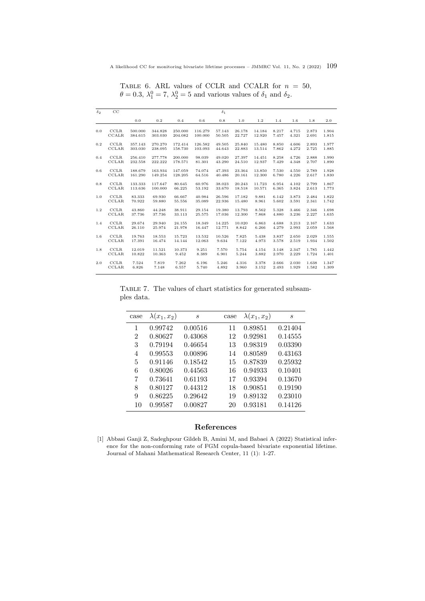| $\delta_2$ | $_{\rm CC}$  |         |         |         |         | $\delta_1$ |        |        |       |       |       |       |
|------------|--------------|---------|---------|---------|---------|------------|--------|--------|-------|-------|-------|-------|
|            |              | 0.0     | 0.2     | 0.4     | 0.6     | 0.8        | 1.0    | 1.2    | 1.4   | 1.6   | 1.8   | 2.0   |
| 0.0        | <b>CCLR</b>  | 500.000 | 344.828 | 250.000 | 116.279 | 57.143     | 26.178 | 14.184 | 8.217 | 4.715 | 2.873 | 1.904 |
|            | <b>CCALR</b> | 384.615 | 303.030 | 204.082 | 100.000 | 50.505     | 22.727 | 12.920 | 7.457 | 4.321 | 2.691 | 1.815 |
| 0.2        | <b>CCLR</b>  | 357.143 | 270.270 | 172.414 | 126.582 | 49.505     | 25.840 | 15.480 | 8.850 | 4.606 | 2.893 | 1.977 |
|            | <b>CCLAR</b> | 303.030 | 238.095 | 158.730 | 103.093 | 44.643     | 22.883 | 13.514 | 7.862 | 4.272 | 2.725 | 1.885 |
| 0.4        | <b>CCLR</b>  | 256.410 | 277.778 | 200.000 | 98.039  | 49.020     | 27.397 | 14.451 | 8.258 | 4.726 | 2.888 | 1.990 |
|            | <b>CCLAR</b> | 232.558 | 222.222 | 178.571 | 81.301  | 43.290     | 24.510 | 12.937 | 7.429 | 4.348 | 2.707 | 1.890 |
| 0.6        | CCLR         | 188.679 | 163.934 | 147.059 | 74.074  | 47.393     | 23.364 | 13.850 | 7.530 | 4.550 | 2.789 | 1.928 |
|            | <b>CCLAR</b> | 161.290 | 149.254 | 128.205 | 64.516  | 40.486     | 20.161 | 12.300 | 6.780 | 4.226 | 2.617 | 1.830 |
| 0.8        | <b>CCLR</b>  | 133.333 | 117.647 | 80.645  | 60.976  | 38.023     | 20.243 | 11.723 | 6.954 | 4.102 | 2.799 | 1.867 |
|            | <b>CCLAR</b> | 113.636 | 100.000 | 66.225  | 53.192  | 33.670     | 18.518 | 10.571 | 6.365 | 3.824 | 2.613 | 1.773 |
| 1.0        | CCLR         | 83.333  | 69.930  | 66.667  | 40.984  | 26.596     | 17.182 | 9.881  | 6.142 | 3.873 | 2.484 | 1.822 |
|            | CCLAR        | 70.922  | 59.880  | 55.556  | 35.089  | 22.936     | 15.480 | 8.961  | 5.602 | 3.591 | 2.341 | 1.742 |
| 1.2        | <b>CCLR</b>  | 43.860  | 44.248  | 38.911  | 29.154  | 19.380     | 13.793 | 8.562  | 5.328 | 3.466 | 2.346 | 1.698 |
|            | <b>CCLAR</b> | 37.736  | 37.736  | 33.113  | 25.575  | 17.036     | 12.300 | 7.868  | 4.880 | 3.236 | 2.227 | 1.635 |
| 1.4        | <b>CCLR</b>  | 29.674  | 29.940  | 24.155  | 18.349  | 14.225     | 10.020 | 6.863  | 4.688 | 3.213 | 2.167 | 1.633 |
|            | <b>CCLAR</b> | 26.110  | 25.974  | 21.978  | 16.447  | 12.771     | 8.842  | 6.266  | 4.279 | 2.993 | 2.059 | 1.568 |
| 1.6        | <b>CCLR</b>  | 19.763  | 18.553  | 15.723  | 13.532  | 10.526     | 7.825  | 5.438  | 3.837 | 2.650 | 2.029 | 1.555 |
|            | <b>CCLAR</b> | 17.391  | 16.474  | 14.144  | 12.063  | 9.634      | 7.122  | 4.973  | 3.578 | 2.519 | 1.934 | 1.502 |
| 1.8        | <b>CCLR</b>  | 12.019  | 11.521  | 10.373  | 9.251   | 7.570      | 5.754  | 4.154  | 3.148 | 2.347 | 1.785 | 1.442 |
|            | <b>CCLAR</b> | 10.822  | 10.363  | 9.452   | 8.389   | 6.901      | 5.244  | 3.882  | 2.970 | 2.229 | 1.724 | 1.401 |
| 2.0        | <b>CCLR</b>  | 7.524   | 7.819   | 7.262   | 6.196   | 5.246      | 4.316  | 3.378  | 2.666 | 2.030 | 1.638 | 1.347 |
|            | <b>CCLAR</b> | 6.826   | 7.148   | 6.557   | 5.740   | 4.892      | 3.960  | 3.152  | 2.493 | 1.929 | 1.582 | 1.309 |

<span id="page-12-1"></span>TABLE 6. ARL values of CCLR and CCALR for  $n = 50$ ,  $\theta = 0.3, \lambda_1^0 = 7, \lambda_2^0 = 5$  and various values of  $\delta_1$  and  $\delta_2$ .

<span id="page-12-2"></span>TABLE 7. The values of chart statistics for generated subsamples data.

l,

| case           | $\lambda(x_1,x_2)$ | S       | case | $\lambda(x_1, x_2)$ | $\mathcal{S}_{0}$ |
|----------------|--------------------|---------|------|---------------------|-------------------|
| 1              | 0.99742            | 0.00516 | 11   | 0.89851             | 0.21404           |
| $\overline{2}$ | 0.80627            | 0.43068 | 12   | 0.92981             | 0.14555           |
| 3              | 0.79194            | 0.46654 | 13   | 0.98319             | 0.03390           |
| 4              | 0.99553            | 0.00896 | 14   | 0.80589             | 0.43163           |
| 5              | 0.91146            | 0.18542 | 15   | 0.87839             | 0.25932           |
| 6              | 0.80026            | 0.44563 | 16   | 0.94933             | 0.10401           |
| 7              | 0.73641            | 0.61193 | 17   | 0.93394             | 0.13670           |
| 8              | 0.80127            | 0.44312 | 18   | 0.90851             | 0.19190           |
| 9              | 0.86225            | 0.29642 | 19   | 0.89132             | 0.23010           |
| 10             | 0.99587            | 0.00827 | 20   | 0.93181             | 0.14126           |

# References

<span id="page-12-0"></span>[1] Abbasi Ganji Z, Sadeghpour Gildeh B, Amini M, and Babaei A (2022) Statistical inference for the non-conforming rate of FGM copula-based bivariate exponential lifetime. Journal of Mahani Mathematical Research Center, 11 (1): 1-27.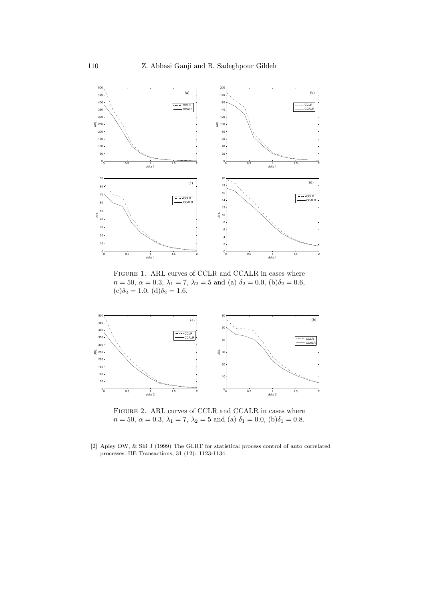<span id="page-13-1"></span>

FIGURE 1. ARL curves of CCLR and CCALR in cases where  $n=50,\,\alpha=0.3,\,\lambda_1=7,\,\lambda_2=5$  and (a)  $\delta_2=0.0,\,({\rm b})\delta_2=0.6,$  $(c)\delta_2 = 1.0, (d)\delta_2 = 1.6.$ 

<span id="page-13-2"></span>

FIGURE 2. ARL curves of CCLR and CCALR in cases where  $n = 50, \ \alpha = 0.3, \ \lambda_1 = 7, \ \lambda_2 = 5 \text{ and (a) } \delta_1 = 0.0, \ (b) \delta_1 = 0.8.$ 

<span id="page-13-0"></span>[2] Apley DW, & Shi J (1999) The GLRT for statistical process control of auto correlated processes. IIE Transactions, 31 (12): 1123-1134.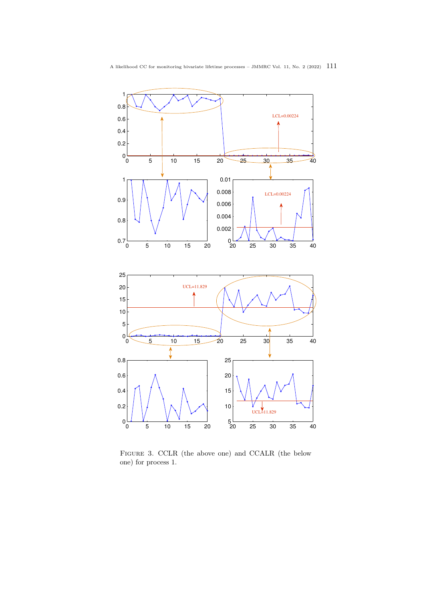<span id="page-14-0"></span>

Figure 3. CCLR (the above one) and CCALR (the below one) for process 1.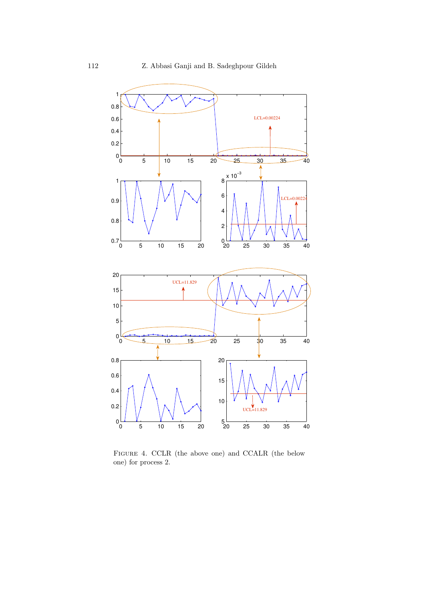

Figure 4. CCLR (the above one) and CCALR (the below one) for process 2.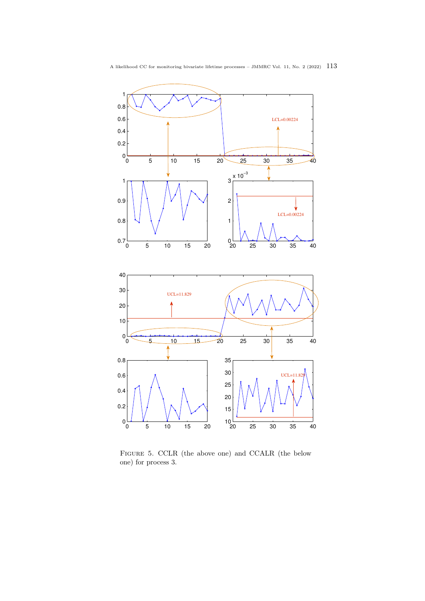

Figure 5. CCLR (the above one) and CCALR (the below one) for process 3.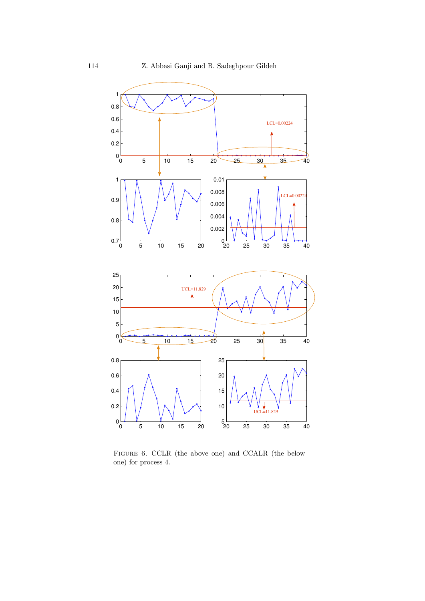

Figure 6. CCLR (the above one) and CCALR (the below one) for process 4.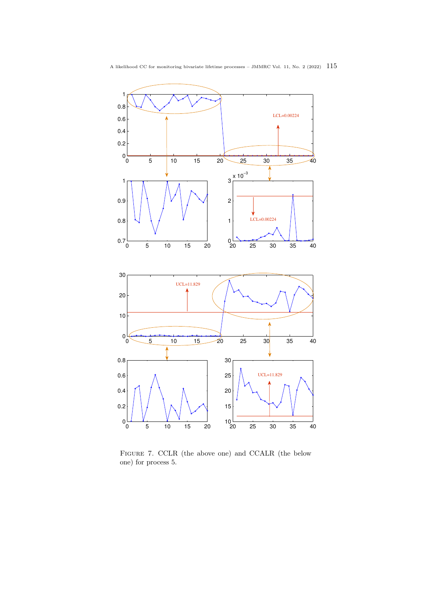

Figure 7. CCLR (the above one) and CCALR (the below one) for process 5.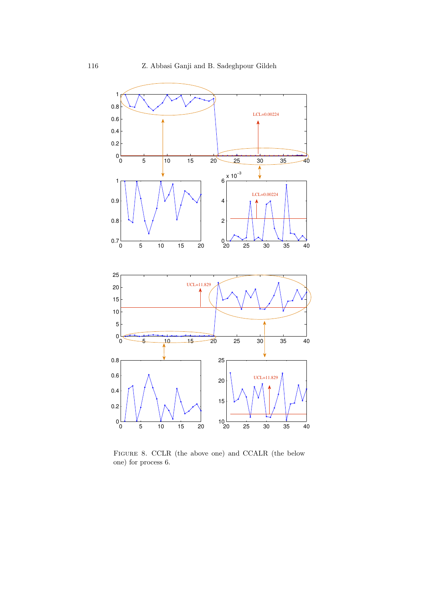<span id="page-19-0"></span>

Figure 8. CCLR (the above one) and CCALR (the below one) for process 6.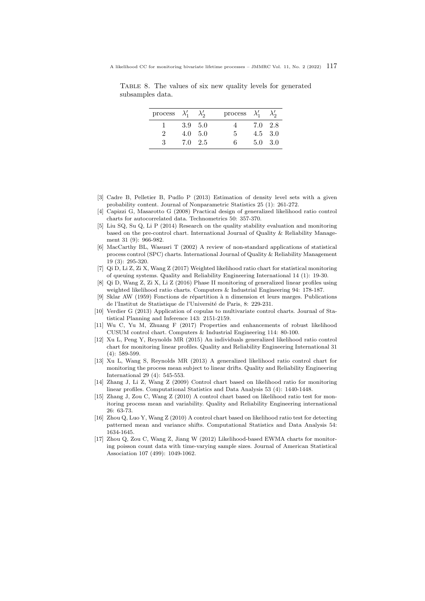<span id="page-20-15"></span>Table 8. The values of six new quality levels for generated subsamples data.

| process $\lambda'_1$ $\lambda'_2$ |                 |                | process $\lambda'_1$ $\lambda'_2$ |                 |  |
|-----------------------------------|-----------------|----------------|-----------------------------------|-----------------|--|
|                                   | $3.9 \quad 5.0$ |                |                                   | 7.0 2.8         |  |
| $\mathcal{D}_{\mathcal{L}}$       |                 | $4.0\quad 5.0$ | 5                                 | $4.5 \quad 3.0$ |  |
| 3                                 | $7.0 \quad 2.5$ |                | в.                                | $5.0 \quad 3.0$ |  |

- <span id="page-20-13"></span>[3] Cadre B, Pelletier B, Pudlo P (2013) Estimation of density level sets with a given probability content. Journal of Nonparametric Statistics 25 (1): 261-272.
- <span id="page-20-1"></span>[4] Capizzi G, Masarotto G (2008) Practical design of generalized likelihood ratio control charts for autocorrelated data. Technometrics 50: 357-370.
- <span id="page-20-14"></span>[5] Liu SQ, Su Q, Li P (2014) Research on the quality stability evaluation and monitoring based on the pre-control chart. International Journal of Quality & Reliability Management 31 (9): 966-982.
- <span id="page-20-0"></span>[6] MacCarthy BL, Wasusri T (2002) A review of non-standard applications of statistical process control (SPC) charts. International Journal of Quality & Reliability Management 19 (3): 295-320.
- <span id="page-20-8"></span>[7] Qi D, Li Z, Zi X, Wang Z (2017) Weighted likelihood ratio chart for statistical monitoring of queuing systems. Quality and Reliability Engineering International 14 (1): 19-30.
- <span id="page-20-9"></span>[8] Qi D, Wang Z, Zi X, Li Z (2016) Phase II monitoring of generalized linear profiles using weighted likelihood ratio charts. Computers & Industrial Engineering 94: 178-187.
- <span id="page-20-11"></span>[9] Sklar AW (1959) Fonctions de répartition à n dimension et leurs marges. Publications de l'Institut de Statistique de l'Université de Paris, 8: 229-231.
- <span id="page-20-12"></span>[10] Verdier G (2013) Application of copulas to multivariate control charts. Journal of Statistical Planning and Inference 143: 2151-2159.
- <span id="page-20-10"></span>[11] Wu C, Yu M, Zhuang F (2017) Properties and enhancements of robust likelihood CUSUM control chart. Computers & Industrial Engineering 114: 80-100.
- <span id="page-20-6"></span>[12] Xu L, Peng Y, Reynolds MR (2015) An individuals generalized likelihood ratio control chart for monitoring linear profiles. Quality and Reliability Engineering International 31 (4): 589-599.
- <span id="page-20-5"></span>[13] Xu L, Wang S, Reynolds MR (2013) A generalized likelihood ratio control chart for monitoring the process mean subject to linear drifts. Quality and Reliability Engineering International 29 (4): 545-553.
- <span id="page-20-2"></span>[14] Zhang J, Li Z, Wang Z (2009) Control chart based on likelihood ratio for monitoring linear profiles. Computational Statistics and Data Analysis 53 (4): 1440-1448.
- <span id="page-20-3"></span>[15] Zhang J, Zou C, Wang Z (2010) A control chart based on likelihood ratio test for monitoring process mean and variability. Quality and Reliability Engineering international 26: 63-73.
- <span id="page-20-4"></span>[16] Zhou Q, Luo Y, Wang Z (2010) A control chart based on likelihood ratio test for detecting patterned mean and variance shifts. Computational Statistics and Data Analysis 54: 1634-1645.
- <span id="page-20-7"></span>[17] Zhou Q, Zou C, Wang Z, Jiang W (2012) Likelihood-based EWMA charts for monitoring poisson count data with time-varying sample sizes. Journal of American Statistical Association 107 (499): 1049-1062.